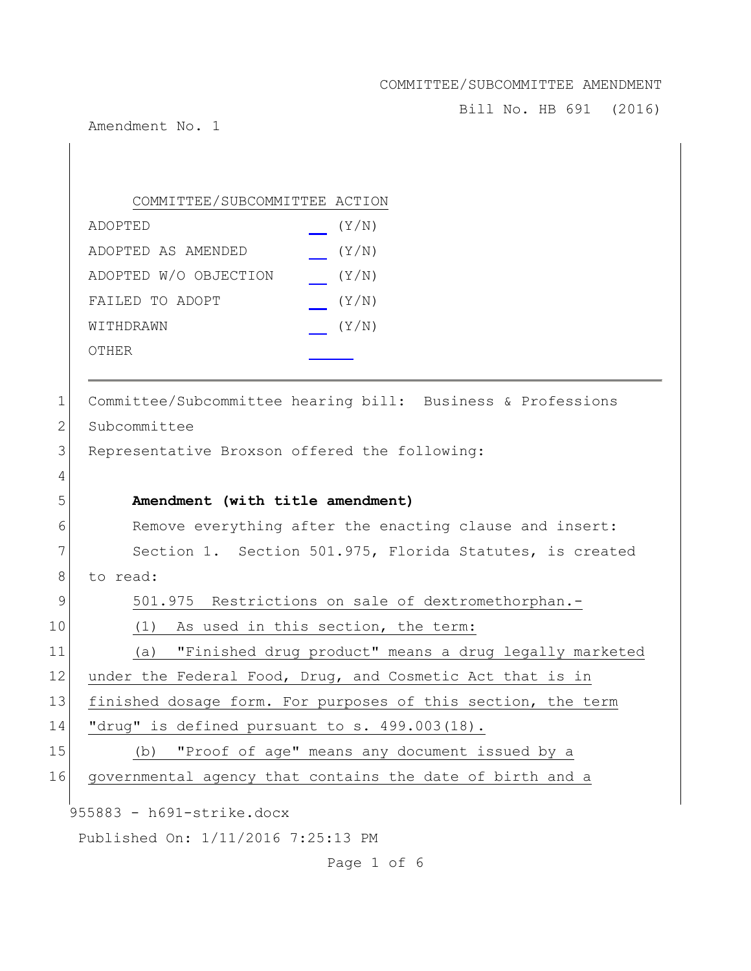Bill No. HB 691 (2016)

Amendment No. 1

# COMMITTEE/SUBCOMMITTEE ACTION

| ADOPTED               | (Y/N) |
|-----------------------|-------|
| ADOPTED AS AMENDED    | (Y/N) |
| ADOPTED W/O OBJECTION | (Y/N) |
| FAILED TO ADOPT       | (Y/N) |
| WITHDRAWN             | (Y/N) |
| OTHER                 |       |

| 1              | Committee/Subcommittee hearing bill: Business & Professions |
|----------------|-------------------------------------------------------------|
| 2              | Subcommittee                                                |
| 3              | Representative Broxson offered the following:               |
| $\overline{4}$ |                                                             |
| 5              | Amendment (with title amendment)                            |
| 6              | Remove everything after the enacting clause and insert:     |
| 7              | Section 1. Section 501.975, Florida Statutes, is created    |
| 8              | to read:                                                    |
| 9              | 501.975 Restrictions on sale of dextromethorphan.-          |
| $\mathbf 0$    | As used in this section, the term:<br>(1)                   |

11 (a) "Finished drug product" means a drug legally marketed 2 under the Federal Food, Drug, and Cosmetic Act that is in 13 finished dosage form. For purposes of this section, the term 14 "drug" is defined pursuant to s. 499.003(18).

| 15 <sup>1</sup> |  |  |  | (b) "Proof of age" means any document issued by a |  |  |
|-----------------|--|--|--|---------------------------------------------------|--|--|
|                 |  |  |  |                                                   |  |  |

16 governmental agency that contains the date of birth and a

955883 - h691-strike.docx

Published On: 1/11/2016 7:25:13 PM

Page 1 of 6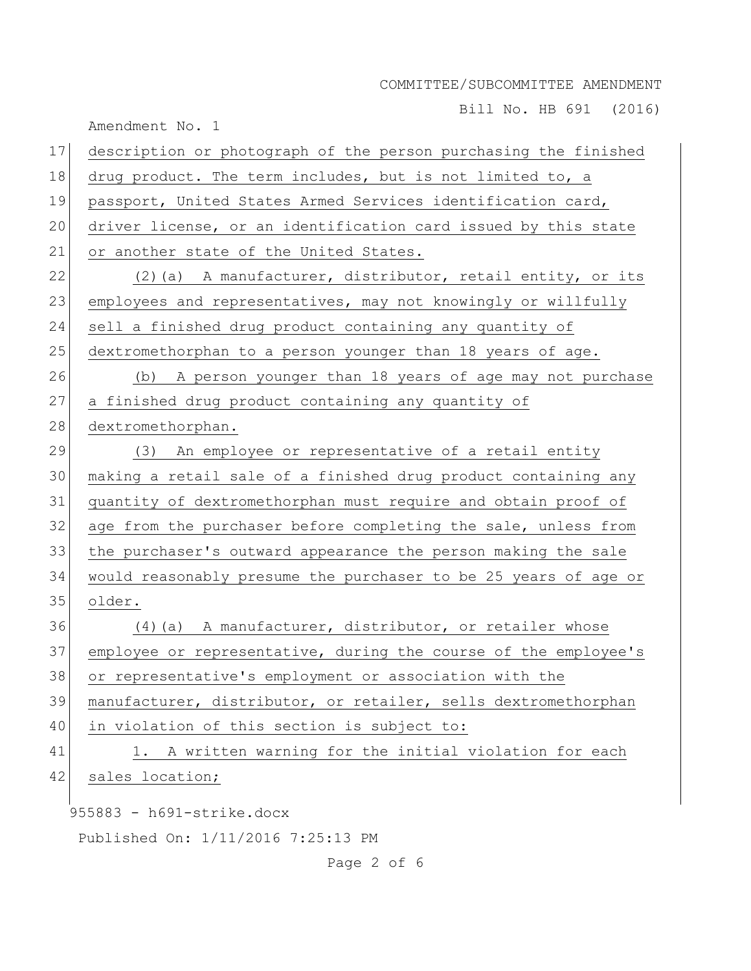Bill No. HB 691 (2016)

|    | Amendment No. 1                                                 |
|----|-----------------------------------------------------------------|
| 17 | description or photograph of the person purchasing the finished |
| 18 | drug product. The term includes, but is not limited to, a       |
| 19 | passport, United States Armed Services identification card,     |
| 20 | driver license, or an identification card issued by this state  |
| 21 | or another state of the United States.                          |
| 22 | (2) (a) A manufacturer, distributor, retail entity, or its      |
| 23 | employees and representatives, may not knowingly or willfully   |
| 24 | sell a finished drug product containing any quantity of         |
| 25 | dextromethorphan to a person younger than 18 years of age.      |
| 26 | (b) A person younger than 18 years of age may not purchase      |
| 27 | a finished drug product containing any quantity of              |
| 28 | dextromethorphan.                                               |
| 29 | (3) An employee or representative of a retail entity            |
| 30 | making a retail sale of a finished drug product containing any  |
| 31 | quantity of dextromethorphan must require and obtain proof of   |
| 32 | age from the purchaser before completing the sale, unless from  |
| 33 | the purchaser's outward appearance the person making the sale   |
| 34 | would reasonably presume the purchaser to be 25 years of age or |
| 35 | older.                                                          |
| 36 | (4) (a) A manufacturer, distributor, or retailer whose          |
| 37 | employee or representative, during the course of the employee's |
| 38 | or representative's employment or association with the          |
| 39 | manufacturer, distributor, or retailer, sells dextromethorphan  |
| 40 | in violation of this section is subject to:                     |
| 41 | 1. A written warning for the initial violation for each         |
| 42 | sales location;                                                 |
|    | $955883 - h691$ -strike.docx                                    |
|    |                                                                 |
|    | Published On: 1/11/2016 7:25:13 PM                              |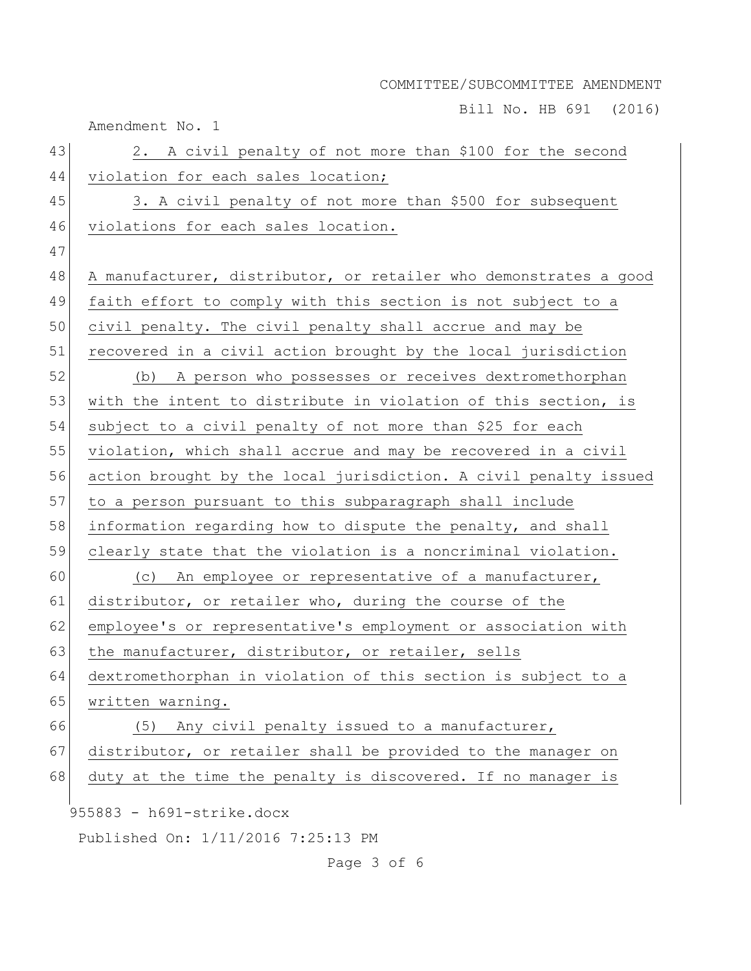Bill No. HB 691 (2016)

Amendment No. 1 955883 - h691-strike.docx Published On: 1/11/2016 7:25:13 PM Page 3 of 6 43 2. A civil penalty of not more than \$100 for the second 44 violation for each sales location; 45 3. A civil penalty of not more than \$500 for subsequent 46 violations for each sales location. 47 48 A manufacturer, distributor, or retailer who demonstrates a good 49 faith effort to comply with this section is not subject to a 50 civil penalty. The civil penalty shall accrue and may be 51 recovered in a civil action brought by the local jurisdiction 52 (b) A person who possesses or receives dextromethorphan 53 with the intent to distribute in violation of this section, is 54 subject to a civil penalty of not more than \$25 for each 55 violation, which shall accrue and may be recovered in a civil 56 action brought by the local jurisdiction. A civil penalty issued 57 to a person pursuant to this subparagraph shall include 58 information regarding how to dispute the penalty, and shall 59 clearly state that the violation is a noncriminal violation. 60 (c) An employee or representative of a manufacturer, 61 distributor, or retailer who, during the course of the 62 employee's or representative's employment or association with 63 the manufacturer, distributor, or retailer, sells 64 dextromethorphan in violation of this section is subject to a 65 written warning. 66 (5) Any civil penalty issued to a manufacturer, 67 distributor, or retailer shall be provided to the manager on 68 duty at the time the penalty is discovered. If no manager is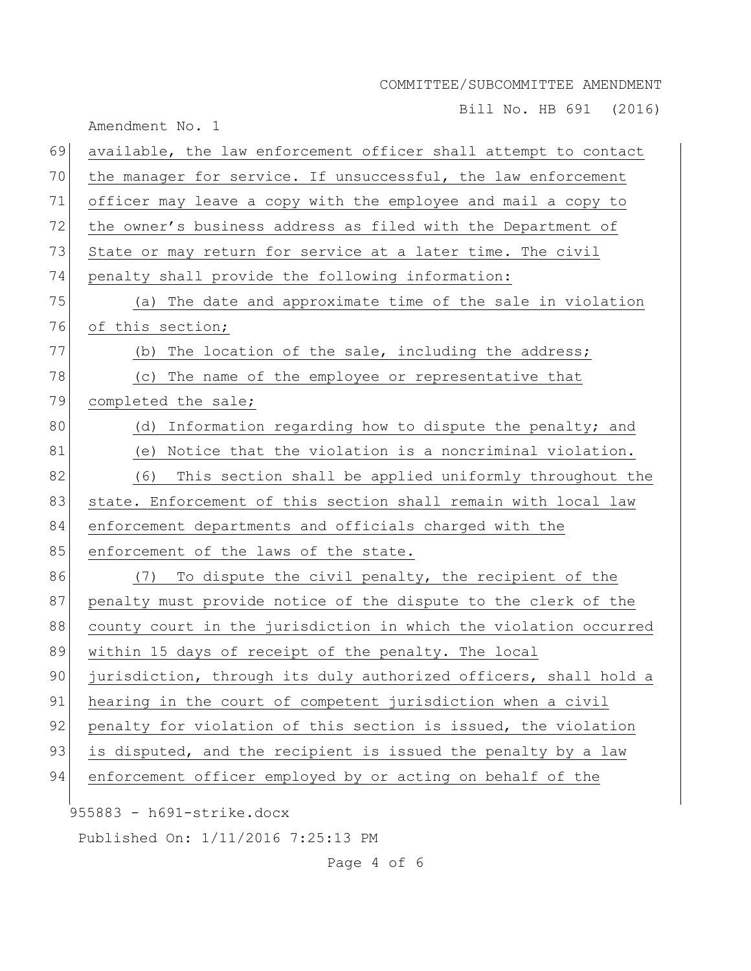Bill No. HB 691 (2016)

Amendment No. 1

| 69 | available, the law enforcement officer shall attempt to contact  |
|----|------------------------------------------------------------------|
| 70 | the manager for service. If unsuccessful, the law enforcement    |
| 71 | officer may leave a copy with the employee and mail a copy to    |
| 72 | the owner's business address as filed with the Department of     |
| 73 | State or may return for service at a later time. The civil       |
| 74 | penalty shall provide the following information:                 |
| 75 | (a) The date and approximate time of the sale in violation       |
| 76 | of this section;                                                 |
| 77 | (b) The location of the sale, including the address;             |
| 78 | (c) The name of the employee or representative that              |
| 79 | completed the sale;                                              |
| 80 | (d) Information regarding how to dispute the penalty; and        |
| 81 | (e) Notice that the violation is a noncriminal violation.        |
| 82 | (6)<br>This section shall be applied uniformly throughout the    |
| 83 | state. Enforcement of this section shall remain with local law   |
| 84 | enforcement departments and officials charged with the           |
| 85 | enforcement of the laws of the state.                            |
| 86 | To dispute the civil penalty, the recipient of the<br>(7)        |
| 87 | penalty must provide notice of the dispute to the clerk of the   |
| 88 | county court in the jurisdiction in which the violation occurred |
| 89 | within 15 days of receipt of the penalty. The local              |
| 90 | jurisdiction, through its duly authorized officers, shall hold a |
| 91 | hearing in the court of competent jurisdiction when a civil      |
| 92 | penalty for violation of this section is issued, the violation   |
| 93 | is disputed, and the recipient is issued the penalty by a law    |
| 94 | enforcement officer employed by or acting on behalf of the       |
|    | $955883 - h691$ -strike.docx                                     |
|    | Published On: 1/11/2016 7:25:13 PM                               |

Page 4 of 6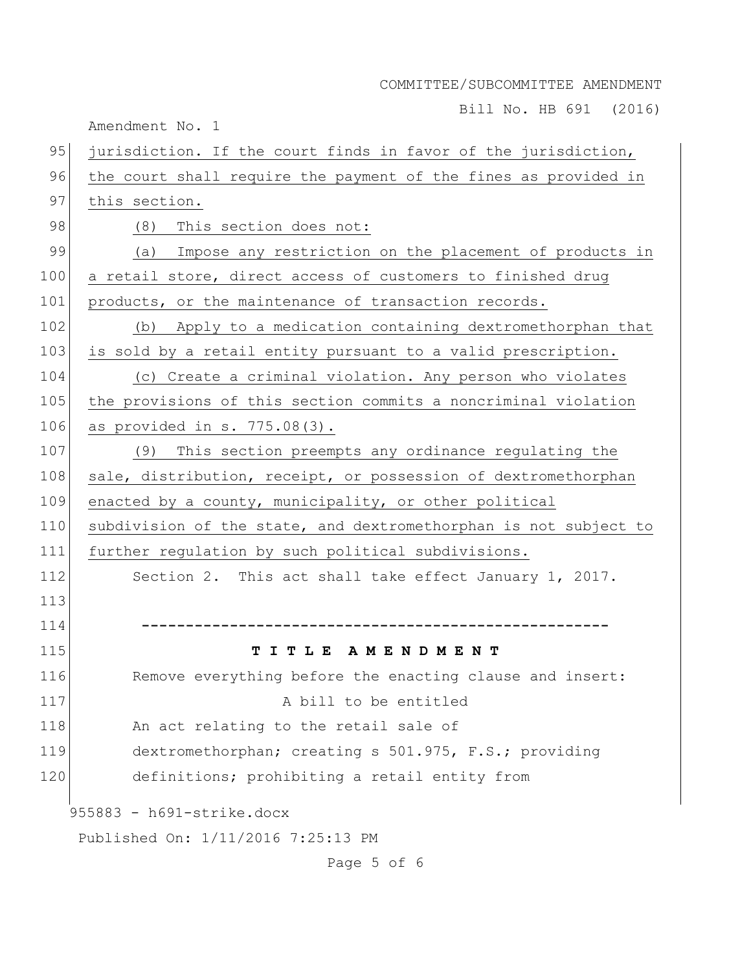Bill No. HB 691 (2016)

Amendment No. 1

| 95  | jurisdiction. If the court finds in favor of the jurisdiction,   |
|-----|------------------------------------------------------------------|
| 96  | the court shall require the payment of the fines as provided in  |
| 97  | this section.                                                    |
| 98  | (8)<br>This section does not:                                    |
| 99  | Impose any restriction on the placement of products in<br>(a)    |
| 100 | a retail store, direct access of customers to finished drug      |
| 101 | products, or the maintenance of transaction records.             |
| 102 | (b) Apply to a medication containing dextromethorphan that       |
| 103 | is sold by a retail entity pursuant to a valid prescription.     |
| 104 | (c) Create a criminal violation. Any person who violates         |
| 105 | the provisions of this section commits a noncriminal violation   |
| 106 | as provided in $s. 775.08(3)$ .                                  |
| 107 | This section preempts any ordinance regulating the<br>(9)        |
| 108 | sale, distribution, receipt, or possession of dextromethorphan   |
| 109 | enacted by a county, municipality, or other political            |
| 110 | subdivision of the state, and dextromethorphan is not subject to |
| 111 | further regulation by such political subdivisions.               |
| 112 | Section 2. This act shall take effect January 1, 2017.           |
| 113 |                                                                  |
| 114 |                                                                  |
| 115 | TITLE AMENDMENT                                                  |
| 116 | Remove everything before the enacting clause and insert:         |
| 117 | A bill to be entitled                                            |
| 118 | An act relating to the retail sale of                            |
| 119 | dextromethorphan; creating s 501.975, F.S.; providing            |
| 120 | definitions; prohibiting a retail entity from                    |
|     | $955883 - h691$ -strike.docx                                     |
|     | Published On: 1/11/2016 7:25:13 PM                               |

Page 5 of 6